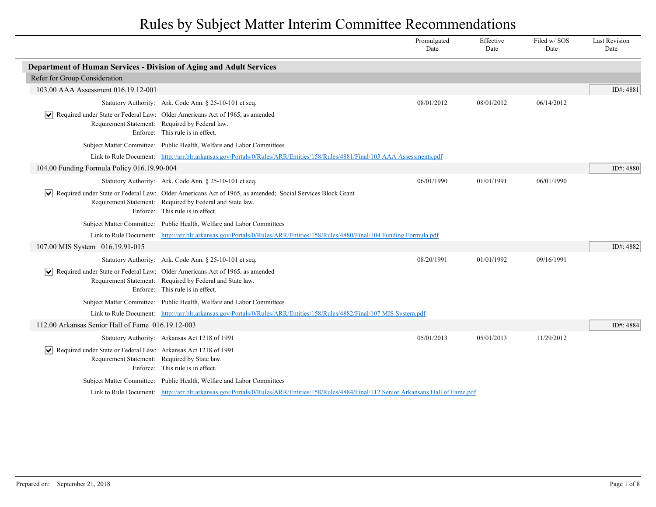|                                                                                                                                   |                                                                                                                                                                                                            | Promulgated<br>Date | Effective<br>Date | Filed w/SOS<br>Date | <b>Last Revision</b><br>Date |
|-----------------------------------------------------------------------------------------------------------------------------------|------------------------------------------------------------------------------------------------------------------------------------------------------------------------------------------------------------|---------------------|-------------------|---------------------|------------------------------|
| Department of Human Services - Division of Aging and Adult Services                                                               |                                                                                                                                                                                                            |                     |                   |                     |                              |
| Refer for Group Consideration                                                                                                     |                                                                                                                                                                                                            |                     |                   |                     |                              |
| 103.00 AAA Assessment 016.19.12-001                                                                                               |                                                                                                                                                                                                            |                     |                   |                     | ID#: 4881                    |
|                                                                                                                                   | Statutory Authority: Ark. Code Ann. § 25-10-101 et seq.                                                                                                                                                    | 08/01/2012          | 08/01/2012        | 06/14/2012          |                              |
|                                                                                                                                   | Required under State or Federal Law: Older Americans Act of 1965, as amended<br>Requirement Statement: Required by Federal law.<br>Enforce: This rule is in effect.                                        |                     |                   |                     |                              |
|                                                                                                                                   | Subject Matter Committee: Public Health, Welfare and Labor Committees                                                                                                                                      |                     |                   |                     |                              |
|                                                                                                                                   | Link to Rule Document: http://arr.blr.arkansas.gov/Portals/0/Rules/ARR/Entities/158/Rules/4881/Final/103 AAA Assessments.pdf                                                                               |                     |                   |                     |                              |
| 104.00 Funding Formula Policy 016.19.90-004                                                                                       |                                                                                                                                                                                                            |                     |                   |                     | ID#: 4880                    |
|                                                                                                                                   | Statutory Authority: Ark. Code Ann. § 25-10-101 et seq.                                                                                                                                                    | 06/01/1990          | 01/01/1991        | 06/01/1990          |                              |
|                                                                                                                                   | Required under State or Federal Law: Older Americans Act of 1965, as amended; Social Services Block Grant<br>Requirement Statement: Required by Federal and State law.<br>Enforce: This rule is in effect. |                     |                   |                     |                              |
|                                                                                                                                   | Subject Matter Committee: Public Health, Welfare and Labor Committees                                                                                                                                      |                     |                   |                     |                              |
|                                                                                                                                   | Link to Rule Document: http://arr.blr.arkansas.gov/Portals/0/Rules/ARR/Entities/158/Rules/4880/Final/104 Funding Formula.pdf                                                                               |                     |                   |                     |                              |
| 107.00 MIS System 016.19.91-015                                                                                                   |                                                                                                                                                                                                            |                     |                   |                     | ID#: 4882                    |
|                                                                                                                                   | Statutory Authority: Ark. Code Ann. § 25-10-101 et seq.                                                                                                                                                    | 08/20/1991          | 01/01/1992        | 09/16/1991          |                              |
|                                                                                                                                   | $\sqrt{\phantom{a}}$ Required under State or Federal Law: Older Americans Act of 1965, as amended<br>Requirement Statement: Required by Federal and State law.<br>Enforce: This rule is in effect.         |                     |                   |                     |                              |
|                                                                                                                                   | Subject Matter Committee: Public Health, Welfare and Labor Committees                                                                                                                                      |                     |                   |                     |                              |
|                                                                                                                                   | Link to Rule Document: http://arr.blr.arkansas.gov/Portals/0/Rules/ARR/Entities/158/Rules/4882/Final/107 MIS System.pdf                                                                                    |                     |                   |                     |                              |
| 112.00 Arkansas Senior Hall of Fame 016.19.12-003                                                                                 |                                                                                                                                                                                                            |                     |                   |                     | ID#: 4884                    |
|                                                                                                                                   | Statutory Authority: Arkansas Act 1218 of 1991                                                                                                                                                             | 05/01/2013          | 05/01/2013        | 11/29/2012          |                              |
| Required under State or Federal Law: Arkansas Act 1218 of 1991<br>$ \mathbf{v} $<br>Requirement Statement: Required by State law. | Enforce: This rule is in effect.                                                                                                                                                                           |                     |                   |                     |                              |
|                                                                                                                                   | Subject Matter Committee: Public Health, Welfare and Labor Committees                                                                                                                                      |                     |                   |                     |                              |
|                                                                                                                                   | Link to Rule Document: http://arr.blr.arkansas.gov/Portals/0/Rules/ARR/Entities/158/Rules/4884/Final/112 Senior Arkansans Hall of Fame.pdf                                                                 |                     |                   |                     |                              |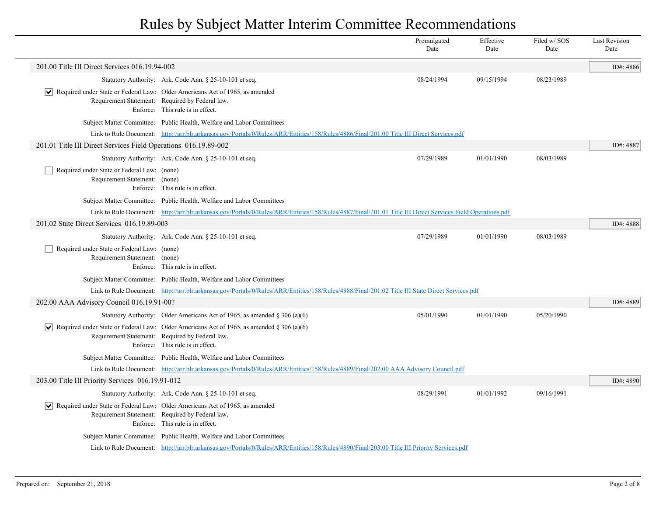|                                                                              |                                                                                                                                                                                              | Promulgated<br>Date | Effective<br>Date | Filed w/SOS<br>Date | <b>Last Revision</b><br>Date |
|------------------------------------------------------------------------------|----------------------------------------------------------------------------------------------------------------------------------------------------------------------------------------------|---------------------|-------------------|---------------------|------------------------------|
| 201.00 Title III Direct Services 016.19.94-002                               |                                                                                                                                                                                              |                     |                   |                     | ID#: 4886                    |
|                                                                              | Statutory Authority: Ark. Code Ann. § 25-10-101 et seq.                                                                                                                                      | 08/24/1994          | 09/15/1994        | 08/23/1989          |                              |
|                                                                              | $\vert \mathbf{v} \vert$ Required under State or Federal Law: Older Americans Act of 1965, as amended<br>Requirement Statement: Required by Federal law.<br>Enforce: This rule is in effect. |                     |                   |                     |                              |
|                                                                              | Subject Matter Committee: Public Health, Welfare and Labor Committees                                                                                                                        |                     |                   |                     |                              |
|                                                                              | Link to Rule Document: http://arr.blr.arkansas.gov/Portals/0/Rules/ARR/Entities/158/Rules/4886/Final/201.00 Title III Direct Services.pdf                                                    |                     |                   |                     |                              |
| 201.01 Title III Direct Services Field Operations 016.19.89-002              |                                                                                                                                                                                              |                     |                   |                     | ID#: 4887                    |
|                                                                              | Statutory Authority: Ark. Code Ann. § 25-10-101 et seq.                                                                                                                                      | 07/29/1989          | 01/01/1990        | 08/03/1989          |                              |
| Required under State or Federal Law: (none)<br>Requirement Statement: (none) | Enforce: This rule is in effect.                                                                                                                                                             |                     |                   |                     |                              |
|                                                                              | Subject Matter Committee: Public Health, Welfare and Labor Committees                                                                                                                        |                     |                   |                     |                              |
|                                                                              | Link to Rule Document: http://arr.blr.arkansas.gov/Portals/0/Rules/ARR/Entities/158/Rules/4887/Final/201.01 Title III Direct Services Field Operations.pdf                                   |                     |                   |                     |                              |
| 201.02 State Direct Services 016.19.89-003                                   |                                                                                                                                                                                              |                     |                   |                     | ID#: 4888                    |
|                                                                              | Statutory Authority: Ark. Code Ann. § 25-10-101 et seq.                                                                                                                                      | 07/29/1989          | 01/01/1990        | 08/03/1989          |                              |
| Required under State or Federal Law: (none)<br>Requirement Statement: (none) | Enforce: This rule is in effect.                                                                                                                                                             |                     |                   |                     |                              |
|                                                                              | Subject Matter Committee: Public Health, Welfare and Labor Committees                                                                                                                        |                     |                   |                     |                              |
|                                                                              | Link to Rule Document: http://arr.blr.arkansas.gov/Portals/0/Rules/ARR/Entities/158/Rules/4888/Final/201.02 Title III State Direct Services.pdf                                              |                     |                   |                     |                              |
| 202.00 AAA Advisory Council 016.19.91-00?                                    |                                                                                                                                                                                              |                     |                   |                     | ID#: 4889                    |
|                                                                              | Statutory Authority: Older Americans Act of 1965, as amended $\S$ 306 (a)(6)                                                                                                                 | 05/01/1990          | 01/01/1990        | 05/20/1990          |                              |
|                                                                              | Required under State or Federal Law: Older Americans Act of 1965, as amended § 306 (a)(6)<br>Requirement Statement: Required by Federal law.<br>Enforce: This rule is in effect.             |                     |                   |                     |                              |
|                                                                              | Subject Matter Committee: Public Health, Welfare and Labor Committees                                                                                                                        |                     |                   |                     |                              |
|                                                                              | Link to Rule Document: http://arr.blr.arkansas.gov/Portals/0/Rules/ARR/Entities/158/Rules/4889/Final/202.00 AAA Advisory Council.pdf                                                         |                     |                   |                     |                              |
| 203.00 Title III Priority Services 016.19.91-012                             |                                                                                                                                                                                              |                     |                   |                     | ID#: 4890                    |
|                                                                              | Statutory Authority: Ark. Code Ann. § 25-10-101 et seq                                                                                                                                       | 08/29/1991          | 01/01/1992        | 09/16/1991          |                              |
|                                                                              | $ \mathbf{v} $ Required under State or Federal Law: Older Americans Act of 1965, as amended<br>Requirement Statement: Required by Federal law.<br>Enforce: This rule is in effect.           |                     |                   |                     |                              |
|                                                                              | Subject Matter Committee: Public Health, Welfare and Labor Committees                                                                                                                        |                     |                   |                     |                              |
|                                                                              | Link to Rule Document: http://arr.blr.arkansas.gov/Portals/0/Rules/ARR/Entities/158/Rules/4890/Final/203.00 Title III Priority Services.pdf                                                  |                     |                   |                     |                              |
|                                                                              |                                                                                                                                                                                              |                     |                   |                     |                              |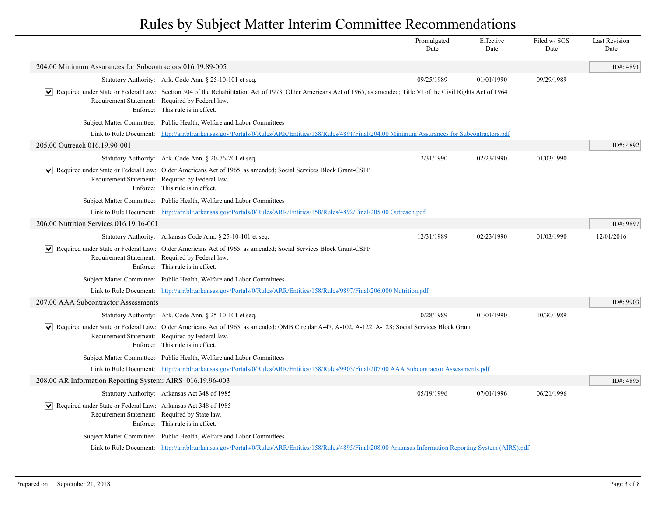|                                                                      |                                                                                                                                                                                                                                                              | Promulgated<br>Date | Effective<br>Date | Filed w/SOS<br>Date | <b>Last Revision</b><br>Date |
|----------------------------------------------------------------------|--------------------------------------------------------------------------------------------------------------------------------------------------------------------------------------------------------------------------------------------------------------|---------------------|-------------------|---------------------|------------------------------|
| 204.00 Minimum Assurances for Subcontractors 016.19.89-005           |                                                                                                                                                                                                                                                              |                     |                   |                     | ID#: 4891                    |
|                                                                      | Statutory Authority: Ark. Code Ann. § 25-10-101 et seq.                                                                                                                                                                                                      | 09/25/1989          | 01/01/1990        | 09/29/1989          |                              |
|                                                                      | Required under State or Federal Law: Section 504 of the Rehabilitation Act of 1973; Older Americans Act of 1965, as amended; Title VI of the Civil Rights Act of 1964<br>Requirement Statement: Required by Federal law.<br>Enforce: This rule is in effect. |                     |                   |                     |                              |
|                                                                      | Subject Matter Committee: Public Health, Welfare and Labor Committees                                                                                                                                                                                        |                     |                   |                     |                              |
|                                                                      | Link to Rule Document: http://arr.blr.arkansas.gov/Portals/0/Rules/ARR/Entities/158/Rules/4891/Final/204.00 Minimum Assurances for Subcontractors.pdf                                                                                                        |                     |                   |                     |                              |
| 205.00 Outreach 016.19.90-001                                        |                                                                                                                                                                                                                                                              |                     |                   |                     | ID#: 4892                    |
|                                                                      | Statutory Authority: Ark. Code Ann. § 20-76-201 et seq.                                                                                                                                                                                                      | 12/31/1990          | 02/23/1990        | 01/03/1990          |                              |
| ∣V∣                                                                  | Required under State or Federal Law: Older Americans Act of 1965, as amended; Social Services Block Grant-CSPP<br>Requirement Statement: Required by Federal law.<br>Enforce: This rule is in effect.                                                        |                     |                   |                     |                              |
|                                                                      | Subject Matter Committee: Public Health, Welfare and Labor Committees                                                                                                                                                                                        |                     |                   |                     |                              |
|                                                                      | Link to Rule Document: http://arr.blr.arkansas.gov/Portals/0/Rules/ARR/Entities/158/Rules/4892/Final/205.00 Outreach.pdf                                                                                                                                     |                     |                   |                     |                              |
| 206.00 Nutrition Services 016.19.16-001                              |                                                                                                                                                                                                                                                              |                     |                   |                     | ID#: 9897                    |
|                                                                      | Statutory Authority: Arkansas Code Ann. § 25-10-101 et seq.                                                                                                                                                                                                  | 12/31/1989          | 02/23/1990        | 01/03/1990          | 12/01/2016                   |
| ∣V∣                                                                  | Required under State or Federal Law: Older Americans Act of 1965, as amended; Social Services Block Grant-CSPP<br>Requirement Statement: Required by Federal law.<br>Enforce: This rule is in effect.                                                        |                     |                   |                     |                              |
|                                                                      | Subject Matter Committee: Public Health, Welfare and Labor Committees                                                                                                                                                                                        |                     |                   |                     |                              |
|                                                                      | Link to Rule Document: http://arr.blr.arkansas.gov/Portals/0/Rules/ARR/Entities/158/Rules/9897/Final/206.000 Nutrition.pdf                                                                                                                                   |                     |                   |                     |                              |
| 207.00 AAA Subcontractor Assessments                                 |                                                                                                                                                                                                                                                              |                     |                   |                     | ID#: 9903                    |
|                                                                      | Statutory Authority: Ark. Code Ann. § 25-10-101 et seq.                                                                                                                                                                                                      | 10/28/1989          | 01/01/1990        | 10/30/1989          |                              |
| ∣V∣                                                                  | Required under State or Federal Law: Older Americans Act of 1965, as amended; OMB Circular A-47, A-102, A-122, A-128; Social Services Block Grant<br>Requirement Statement: Required by Federal law.<br>Enforce: This rule is in effect.                     |                     |                   |                     |                              |
|                                                                      | Subject Matter Committee: Public Health, Welfare and Labor Committees                                                                                                                                                                                        |                     |                   |                     |                              |
|                                                                      | Link to Rule Document: http://arr.blr.arkansas.gov/Portals/0/Rules/ARR/Entities/158/Rules/9903/Final/207.00 AAA Subcontractor Assessments.pdf                                                                                                                |                     |                   |                     |                              |
| 208.00 AR Information Reporting System: AIRS 016.19.96-003           |                                                                                                                                                                                                                                                              |                     |                   |                     | ID#: 4895                    |
|                                                                      | Statutory Authority: Arkansas Act 348 of 1985                                                                                                                                                                                                                | 05/19/1996          | 07/01/1996        | 06/21/1996          |                              |
| Required under State or Federal Law: Arkansas Act 348 of 1985<br>∣V∣ | Requirement Statement: Required by State law.<br>Enforce: This rule is in effect.                                                                                                                                                                            |                     |                   |                     |                              |
|                                                                      | Subject Matter Committee: Public Health, Welfare and Labor Committees                                                                                                                                                                                        |                     |                   |                     |                              |
|                                                                      | Link to Rule Document: http://arr.blr.arkansas.gov/Portals/0/Rules/ARR/Entities/158/Rules/4895/Final/208.00 Arkansas Information Reporting System (AIRS).pdf                                                                                                 |                     |                   |                     |                              |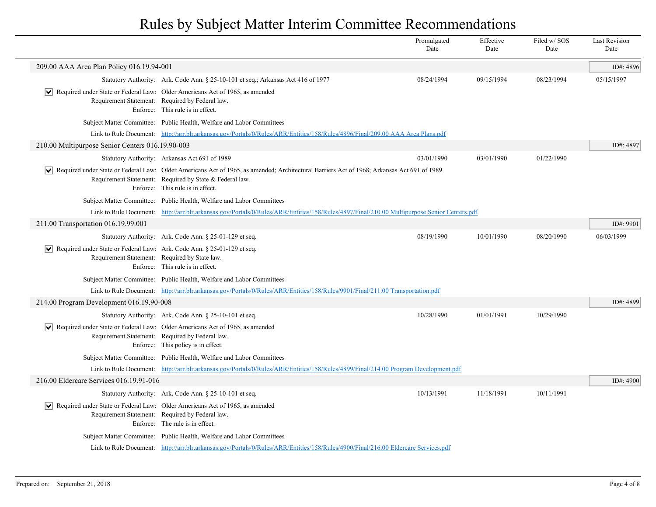|                                                                                                                                                       |                                                                                                                                                                                                                                             | Promulgated<br>Date | Effective<br>Date | Filed w/SOS<br>Date | <b>Last Revision</b><br>Date |
|-------------------------------------------------------------------------------------------------------------------------------------------------------|---------------------------------------------------------------------------------------------------------------------------------------------------------------------------------------------------------------------------------------------|---------------------|-------------------|---------------------|------------------------------|
| 209.00 AAA Area Plan Policy 016.19.94-001                                                                                                             |                                                                                                                                                                                                                                             |                     |                   |                     | ID#: 4896                    |
|                                                                                                                                                       | Statutory Authority: Ark. Code Ann. § 25-10-101 et seq.; Arkansas Act 416 of 1977                                                                                                                                                           | 08/24/1994          | 09/15/1994        | 08/23/1994          | 05/15/1997                   |
|                                                                                                                                                       | $\vert \bullet \vert$ Required under State or Federal Law: Older Americans Act of 1965, as amended<br>Requirement Statement: Required by Federal law.<br>Enforce: This rule is in effect.                                                   |                     |                   |                     |                              |
|                                                                                                                                                       | Subject Matter Committee: Public Health, Welfare and Labor Committees                                                                                                                                                                       |                     |                   |                     |                              |
|                                                                                                                                                       | Link to Rule Document: http://arr.blr.arkansas.gov/Portals/0/Rules/ARR/Entities/158/Rules/4896/Final/209.00 AAA Area Plans.pdf                                                                                                              |                     |                   |                     |                              |
| 210.00 Multipurpose Senior Centers 016.19.90-003                                                                                                      |                                                                                                                                                                                                                                             |                     |                   |                     | ID#: 4897                    |
|                                                                                                                                                       | Statutory Authority: Arkansas Act 691 of 1989                                                                                                                                                                                               | 03/01/1990          | 03/01/1990        | 01/22/1990          |                              |
|                                                                                                                                                       | √ Required under State or Federal Law: Older Americans Act of 1965, as amended; Architectural Barriers Act of 1968; Arkansas Act 691 of 1989<br>Requirement Statement: Required by State & Federal law.<br>Enforce: This rule is in effect. |                     |                   |                     |                              |
|                                                                                                                                                       | Subject Matter Committee: Public Health, Welfare and Labor Committees                                                                                                                                                                       |                     |                   |                     |                              |
|                                                                                                                                                       | Link to Rule Document: http://arr.blr.arkansas.gov/Portals/0/Rules/ARR/Entities/158/Rules/4897/Final/210.00 Multipurpose Senior Centers.pdf                                                                                                 |                     |                   |                     |                              |
| 211.00 Transportation 016.19.99.001                                                                                                                   |                                                                                                                                                                                                                                             |                     |                   |                     | ID#: 9901                    |
|                                                                                                                                                       | Statutory Authority: Ark. Code Ann. § 25-01-129 et seq.                                                                                                                                                                                     | 08/19/1990          | 10/01/1990        | 08/20/1990          | 06/03/1999                   |
| $\boxed{\blacktriangledown}$ Required under State or Federal Law: Ark. Code Ann. § 25-01-129 et seq.<br>Requirement Statement: Required by State law. | Enforce: This rule is in effect.                                                                                                                                                                                                            |                     |                   |                     |                              |
|                                                                                                                                                       | Subject Matter Committee: Public Health, Welfare and Labor Committees                                                                                                                                                                       |                     |                   |                     |                              |
|                                                                                                                                                       | Link to Rule Document: http://arr.blr.arkansas.gov/Portals/0/Rules/ARR/Entities/158/Rules/9901/Final/211.00 Transportation.pdf                                                                                                              |                     |                   |                     |                              |
| 214.00 Program Development 016.19.90-008                                                                                                              |                                                                                                                                                                                                                                             |                     |                   |                     | ID#: 4899                    |
|                                                                                                                                                       | Statutory Authority: Ark. Code Ann. § 25-10-101 et seq.                                                                                                                                                                                     | 10/28/1990          | 01/01/1991        | 10/29/1990          |                              |
|                                                                                                                                                       | $ \mathbf{v} $ Required under State or Federal Law: Older Americans Act of 1965, as amended<br>Requirement Statement: Required by Federal law.<br>Enforce: This policy is in effect.                                                        |                     |                   |                     |                              |
|                                                                                                                                                       | Subject Matter Committee: Public Health, Welfare and Labor Committees                                                                                                                                                                       |                     |                   |                     |                              |
|                                                                                                                                                       | Link to Rule Document: http://arr.blr.arkansas.gov/Portals/0/Rules/ARR/Entities/158/Rules/4899/Final/214.00 Program Development.pdf                                                                                                         |                     |                   |                     |                              |
| 216.00 Eldercare Services 016.19.91-016                                                                                                               |                                                                                                                                                                                                                                             |                     |                   |                     | ID#: 4900                    |
|                                                                                                                                                       | Statutory Authority: Ark. Code Ann. § 25-10-101 et seq.                                                                                                                                                                                     | 10/13/1991          | 11/18/1991        | 10/11/1991          |                              |
|                                                                                                                                                       | $ \mathbf{v} $ Required under State or Federal Law: Older Americans Act of 1965, as amended<br>Requirement Statement: Required by Federal law.<br>Enforce: The rule is in effect.                                                           |                     |                   |                     |                              |
|                                                                                                                                                       | Subject Matter Committee: Public Health, Welfare and Labor Committees                                                                                                                                                                       |                     |                   |                     |                              |
|                                                                                                                                                       | Link to Rule Document: http://arr.blr.arkansas.gov/Portals/0/Rules/ARR/Entities/158/Rules/4900/Final/216.00 Eldercare Services.pdf                                                                                                          |                     |                   |                     |                              |
|                                                                                                                                                       |                                                                                                                                                                                                                                             |                     |                   |                     |                              |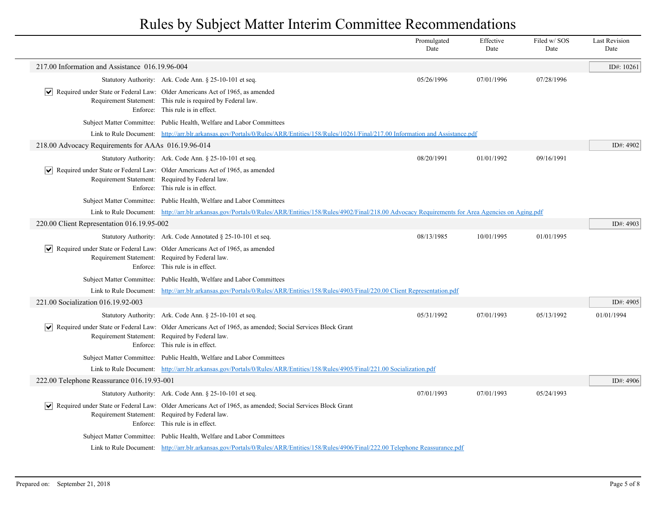|                                                     |                                                                                                                                                                                                        | Promulgated<br>Date | Effective<br>Date | Filed w/SOS<br>Date | <b>Last Revision</b><br>Date |
|-----------------------------------------------------|--------------------------------------------------------------------------------------------------------------------------------------------------------------------------------------------------------|---------------------|-------------------|---------------------|------------------------------|
| 217.00 Information and Assistance 016.19.96-004     |                                                                                                                                                                                                        |                     |                   |                     | ID#: $10261$                 |
|                                                     | Statutory Authority: Ark. Code Ann. § 25-10-101 et seq.                                                                                                                                                | 05/26/1996          | 07/01/1996        | 07/28/1996          |                              |
|                                                     | $\vert \bullet \vert$ Required under State or Federal Law: Older Americans Act of 1965, as amended<br>Requirement Statement: This rule is required by Federal law.<br>Enforce: This rule is in effect. |                     |                   |                     |                              |
|                                                     | Subject Matter Committee: Public Health, Welfare and Labor Committees                                                                                                                                  |                     |                   |                     |                              |
|                                                     | Link to Rule Document: http://arr.blr.arkansas.gov/Portals/0/Rules/ARR/Entities/158/Rules/10261/Final/217.00 Information and Assistance.pdf                                                            |                     |                   |                     |                              |
| 218.00 Advocacy Requirements for AAAs 016.19.96-014 |                                                                                                                                                                                                        |                     |                   |                     | ID#: 4902                    |
|                                                     | Statutory Authority: Ark. Code Ann. § 25-10-101 et seq.                                                                                                                                                | 08/20/1991          | 01/01/1992        | 09/16/1991          |                              |
|                                                     | $\vert \bullet \vert$ Required under State or Federal Law: Older Americans Act of 1965, as amended<br>Requirement Statement: Required by Federal law.<br>Enforce: This rule is in effect.              |                     |                   |                     |                              |
|                                                     | Subject Matter Committee: Public Health, Welfare and Labor Committees                                                                                                                                  |                     |                   |                     |                              |
|                                                     | Link to Rule Document: http://arr.blr.arkansas.gov/Portals/0/Rules/ARR/Entities/158/Rules/4902/Final/218.00 Advocacy Requirements for Area Agencies on Aging.pdf                                       |                     |                   |                     |                              |
| 220.00 Client Representation 016.19.95-002          |                                                                                                                                                                                                        |                     |                   |                     | ID#: 4903                    |
|                                                     | Statutory Authority: Ark. Code Annotated § 25-10-101 et seq.                                                                                                                                           | 08/13/1985          | 10/01/1995        | 01/01/1995          |                              |
|                                                     | $\vert \bullet \vert$ Required under State or Federal Law: Older Americans Act of 1965, as amended<br>Requirement Statement: Required by Federal law.<br>Enforce: This rule is in effect.              |                     |                   |                     |                              |
|                                                     | Subject Matter Committee: Public Health, Welfare and Labor Committees                                                                                                                                  |                     |                   |                     |                              |
|                                                     | Link to Rule Document: http://arr.blr.arkansas.gov/Portals/0/Rules/ARR/Entities/158/Rules/4903/Final/220.00 Client Representation.pdf                                                                  |                     |                   |                     |                              |
| 221.00 Socialization 016.19.92-003                  |                                                                                                                                                                                                        |                     |                   |                     | ID#: 4905                    |
|                                                     | Statutory Authority: Ark. Code Ann. § 25-10-101 et seq.                                                                                                                                                | 05/31/1992          | 07/01/1993        | 05/13/1992          | 01/01/1994                   |
|                                                     | ↓ Required under State or Federal Law: Older Americans Act of 1965, as amended; Social Services Block Grant<br>Requirement Statement: Required by Federal law.<br>Enforce: This rule is in effect.     |                     |                   |                     |                              |
|                                                     | Subject Matter Committee: Public Health, Welfare and Labor Committees                                                                                                                                  |                     |                   |                     |                              |
|                                                     | Link to Rule Document: http://arr.blr.arkansas.gov/Portals/0/Rules/ARR/Entities/158/Rules/4905/Final/221.00 Socialization.pdf                                                                          |                     |                   |                     |                              |
| 222.00 Telephone Reassurance 016.19.93-001          |                                                                                                                                                                                                        |                     |                   |                     | ID#: 4906                    |
|                                                     | Statutory Authority: Ark. Code Ann. § 25-10-101 et seq.                                                                                                                                                | 07/01/1993          | 07/01/1993        | 05/24/1993          |                              |
|                                                     | √ Required under State or Federal Law: Older Americans Act of 1965, as amended; Social Services Block Grant<br>Requirement Statement: Required by Federal law.<br>Enforce: This rule is in effect.     |                     |                   |                     |                              |
|                                                     | Subject Matter Committee: Public Health, Welfare and Labor Committees                                                                                                                                  |                     |                   |                     |                              |
|                                                     | Link to Rule Document: http://arr.blr.arkansas.gov/Portals/0/Rules/ARR/Entities/158/Rules/4906/Final/222.00 Telephone Reassurance.pdf                                                                  |                     |                   |                     |                              |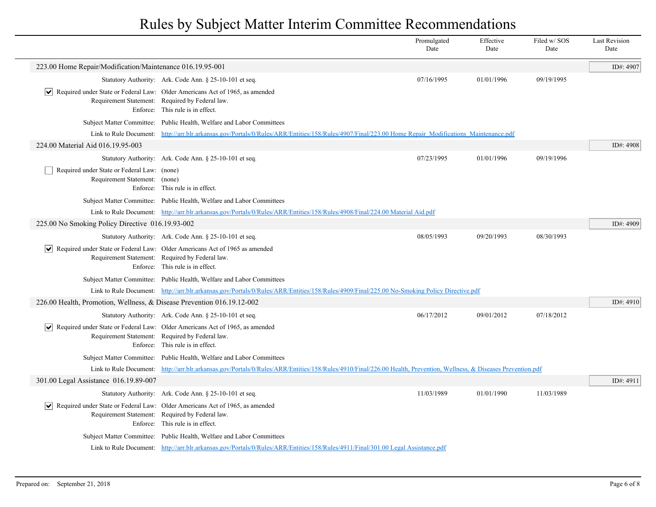|                                                                              |                                                                                                                                                                     | Promulgated<br>Date | Effective<br>Date | Filed w/SOS<br>Date | <b>Last Revision</b><br>Date |
|------------------------------------------------------------------------------|---------------------------------------------------------------------------------------------------------------------------------------------------------------------|---------------------|-------------------|---------------------|------------------------------|
| 223.00 Home Repair/Modification/Maintenance 016.19.95-001                    |                                                                                                                                                                     |                     |                   |                     | ID#: 4907                    |
|                                                                              | Statutory Authority: Ark. Code Ann. § 25-10-101 et seq.                                                                                                             | 07/16/1995          | 01/01/1996        | 09/19/1995          |                              |
| $ \bm{\mathsf{v}} $                                                          | Required under State or Federal Law: Older Americans Act of 1965, as amended<br>Requirement Statement: Required by Federal law.<br>Enforce: This rule is in effect. |                     |                   |                     |                              |
|                                                                              | Subject Matter Committee: Public Health, Welfare and Labor Committees                                                                                               |                     |                   |                     |                              |
|                                                                              | Link to Rule Document: http://arr.blr.arkansas.gov/Portals/0/Rules/ARR/Entities/158/Rules/4907/Final/223.00 Home Repair Modifications Maintenance.pdf               |                     |                   |                     |                              |
| 224.00 Material Aid 016.19.95-003                                            |                                                                                                                                                                     |                     |                   |                     | ID#: 4908                    |
|                                                                              | Statutory Authority: Ark. Code Ann. § 25-10-101 et seq.                                                                                                             | 07/23/1995          | 01/01/1996        | 09/19/1996          |                              |
| Required under State or Federal Law: (none)<br>Requirement Statement: (none) | Enforce: This rule is in effect.                                                                                                                                    |                     |                   |                     |                              |
|                                                                              | Subject Matter Committee: Public Health, Welfare and Labor Committees                                                                                               |                     |                   |                     |                              |
|                                                                              | Link to Rule Document: http://arr.blr.arkansas.gov/Portals/0/Rules/ARR/Entities/158/Rules/4908/Final/224.00 Material Aid.pdf                                        |                     |                   |                     |                              |
| 225.00 No Smoking Policy Directive 016.19.93-002                             |                                                                                                                                                                     |                     |                   |                     | ID#: 4909                    |
|                                                                              | Statutory Authority: Ark. Code Ann. § 25-10-101 et seq.                                                                                                             | 08/05/1993          | 09/20/1993        | 08/30/1993          |                              |
| $ \bm{\mathsf{v}} $                                                          | Required under State or Federal Law: Older Americans Act of 1965 as amended<br>Requirement Statement: Required by Federal law.<br>Enforce: This rule is in effect.  |                     |                   |                     |                              |
|                                                                              | Subject Matter Committee: Public Health, Welfare and Labor Committees                                                                                               |                     |                   |                     |                              |
|                                                                              | Link to Rule Document: http://arr.blr.arkansas.gov/Portals/0/Rules/ARR/Entities/158/Rules/4909/Final/225.00 No-Smoking Policy Directive.pdf                         |                     |                   |                     |                              |
| 226.00 Health, Promotion, Wellness, & Disease Prevention 016.19.12-002       |                                                                                                                                                                     |                     |                   |                     | ID#: 4910                    |
|                                                                              | Statutory Authority: Ark. Code Ann. § 25-10-101 et seq.                                                                                                             | 06/17/2012          | 09/01/2012        | 07/18/2012          |                              |
| $ \bm{\vee} $                                                                | Required under State or Federal Law: Older Americans Act of 1965, as amended<br>Requirement Statement: Required by Federal law.<br>Enforce: This rule is in effect. |                     |                   |                     |                              |
|                                                                              | Subject Matter Committee: Public Health, Welfare and Labor Committees                                                                                               |                     |                   |                     |                              |
|                                                                              | Link to Rule Document: http://arr.blr.arkansas.gov/Portals/0/Rules/ARR/Entities/158/Rules/4910/Final/226.00 Health, Prevention, Wellness, & Diseases Prevention.pdf |                     |                   |                     |                              |
| 301.00 Legal Assistance 016.19.89-007                                        |                                                                                                                                                                     |                     |                   |                     | ID#: 4911                    |
|                                                                              | Statutory Authority: Ark. Code Ann. § 25-10-101 et seq.                                                                                                             | 11/03/1989          | 01/01/1990        | 11/03/1989          |                              |
| $ \bm{\mathsf{v}} $                                                          | Required under State or Federal Law: Older Americans Act of 1965, as amended<br>Requirement Statement: Required by Federal law.<br>Enforce: This rule is in effect. |                     |                   |                     |                              |
|                                                                              | Subject Matter Committee: Public Health, Welfare and Labor Committees                                                                                               |                     |                   |                     |                              |
|                                                                              | Link to Rule Document: http://arr.blr.arkansas.gov/Portals/0/Rules/ARR/Entities/158/Rules/4911/Final/301.00 Legal Assistance.pdf                                    |                     |                   |                     |                              |
|                                                                              |                                                                                                                                                                     |                     |                   |                     |                              |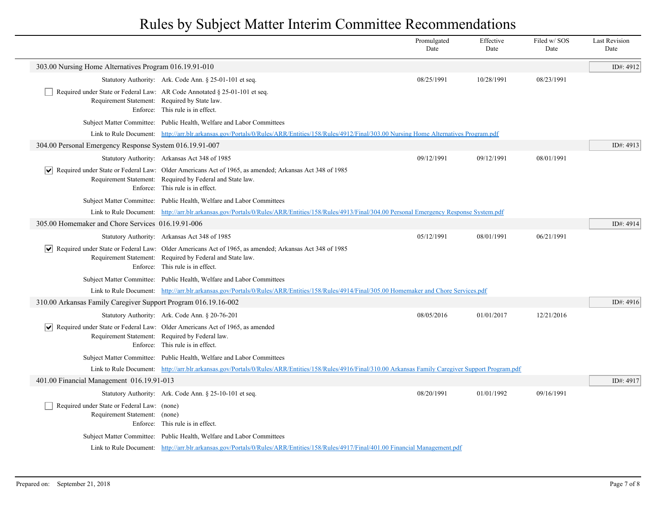|                                                                              |                                                                                                                                                                                                           | Promulgated<br>Date | Effective<br>Date | Filed w/SOS<br>Date | <b>Last Revision</b><br>Date |
|------------------------------------------------------------------------------|-----------------------------------------------------------------------------------------------------------------------------------------------------------------------------------------------------------|---------------------|-------------------|---------------------|------------------------------|
| 303.00 Nursing Home Alternatives Program 016.19.91-010                       |                                                                                                                                                                                                           |                     |                   |                     | ID#: 4912                    |
|                                                                              | Statutory Authority: Ark. Code Ann. § 25-01-101 et seq.                                                                                                                                                   | 08/25/1991          | 10/28/1991        | 08/23/1991          |                              |
| Requirement Statement: Required by State law.                                | Required under State or Federal Law: AR Code Annotated § 25-01-101 et seq.<br>Enforce: This rule is in effect.                                                                                            |                     |                   |                     |                              |
|                                                                              | Subject Matter Committee: Public Health, Welfare and Labor Committees                                                                                                                                     |                     |                   |                     |                              |
|                                                                              | Link to Rule Document: http://arr.blr.arkansas.gov/Portals/0/Rules/ARR/Entities/158/Rules/4912/Final/303.00 Nursing Home Alternatives Program.pdf                                                         |                     |                   |                     |                              |
| 304.00 Personal Emergency Response System 016.19.91-007                      |                                                                                                                                                                                                           |                     |                   |                     | ID#: 4913                    |
|                                                                              | Statutory Authority: Arkansas Act 348 of 1985                                                                                                                                                             | 09/12/1991          | 09/12/1991        | 08/01/1991          |                              |
| $ \bm{\mathsf{v}} $                                                          | Required under State or Federal Law: Older Americans Act of 1965, as amended; Arkansas Act 348 of 1985<br>Requirement Statement: Required by Federal and State law.<br>Enforce: This rule is in effect.   |                     |                   |                     |                              |
|                                                                              | Subject Matter Committee: Public Health, Welfare and Labor Committees                                                                                                                                     |                     |                   |                     |                              |
|                                                                              | Link to Rule Document: http://arr.blr.arkansas.gov/Portals/0/Rules/ARR/Entities/158/Rules/4913/Final/304.00 Personal Emergency Response System.pdf                                                        |                     |                   |                     |                              |
| 305.00 Homemaker and Chore Services 016.19.91-006                            |                                                                                                                                                                                                           |                     |                   |                     | ID#: 4914                    |
|                                                                              | Statutory Authority: Arkansas Act 348 of 1985                                                                                                                                                             | 05/12/1991          | 08/01/1991        | 06/21/1991          |                              |
|                                                                              | ↓ Required under State or Federal Law: Older Americans Act of 1965, as amended; Arkansas Act 348 of 1985<br>Requirement Statement: Required by Federal and State law.<br>Enforce: This rule is in effect. |                     |                   |                     |                              |
|                                                                              | Subject Matter Committee: Public Health, Welfare and Labor Committees                                                                                                                                     |                     |                   |                     |                              |
|                                                                              | Link to Rule Document: http://arr.blr.arkansas.gov/Portals/0/Rules/ARR/Entities/158/Rules/4914/Final/305.00 Homemaker and Chore Services.pdf                                                              |                     |                   |                     |                              |
| 310.00 Arkansas Family Caregiver Support Program 016.19.16-002               |                                                                                                                                                                                                           |                     |                   |                     | ID#: 4916                    |
|                                                                              | Statutory Authority: Ark. Code Ann. § 20-76-201                                                                                                                                                           | 08/05/2016          | 01/01/2017        | 12/21/2016          |                              |
|                                                                              | $ \mathbf{v} $ Required under State or Federal Law: Older Americans Act of 1965, as amended<br>Requirement Statement: Required by Federal law.<br>Enforce: This rule is in effect.                        |                     |                   |                     |                              |
|                                                                              | Subject Matter Committee: Public Health, Welfare and Labor Committees                                                                                                                                     |                     |                   |                     |                              |
|                                                                              | Link to Rule Document: http://arr.blr.arkansas.gov/Portals/0/Rules/ARR/Entities/158/Rules/4916/Final/310.00 Arkansas Family Caregiver Support Program.pdf                                                 |                     |                   |                     |                              |
| 401.00 Financial Management 016.19.91-013                                    |                                                                                                                                                                                                           |                     |                   |                     | ID#: 4917                    |
|                                                                              | Statutory Authority: Ark. Code Ann. § 25-10-101 et seq.                                                                                                                                                   | 08/20/1991          | 01/01/1992        | 09/16/1991          |                              |
| Required under State or Federal Law: (none)<br>Requirement Statement: (none) | Enforce: This rule is in effect.                                                                                                                                                                          |                     |                   |                     |                              |
|                                                                              | Subject Matter Committee: Public Health, Welfare and Labor Committees                                                                                                                                     |                     |                   |                     |                              |
|                                                                              | Link to Rule Document: http://arr.blr.arkansas.gov/Portals/0/Rules/ARR/Entities/158/Rules/4917/Final/401.00 Financial Management.pdf                                                                      |                     |                   |                     |                              |
|                                                                              |                                                                                                                                                                                                           |                     |                   |                     |                              |